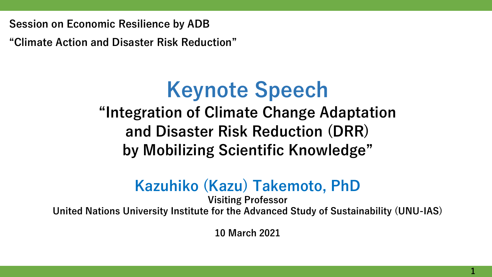**Session on Economic Resilience by ADB**

**"Climate Action and Disaster Risk Reduction"**

## **Keynote Speech**

**"Integration of Climate Change Adaptation and Disaster Risk Reduction (DRR) by Mobilizing Scientific Knowledge"**

### **Kazuhiko (Kazu) Takemoto, PhD**

**Visiting Professor United Nations University Institute for the Advanced Study of Sustainability (UNU-IAS)**

**10 March 2021**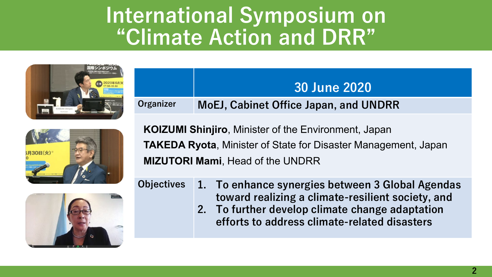### **International Symposium on "Climate Action and DRR"**



**30 June 2020**

**Organizer MoEJ, Cabinet Office Japan, and UNDRR**





**KOIZUMI Shinjiro**, Minister of the Environment, Japan **TAKEDA Ryota**, Minister of State for Disaster Management, Japan **MIZUTORI Mami**, Head of the UNDRR

- **Objectives 1. To enhance synergies between 3 Global Agendas toward realizing a climate-resilient society, and**
	- **2. To further develop climate change adaptation efforts to address climate-related disasters**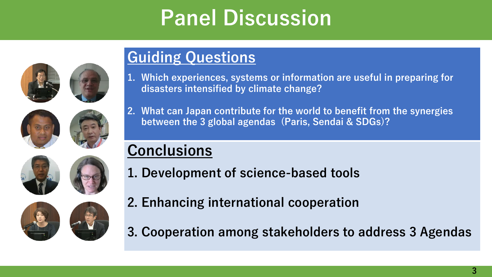# **Panel Discussion**

















#### **Guiding Questions**

- **1. Which experiences, systems or information are useful in preparing for disasters intensified by climate change?**
- **2. What can Japan contribute for the world to benefit from the synergies between the 3 global agendas (Paris, Sendai & SDGs)?**

#### **Conclusions**

- **1. Development of science-based tools**
- **2. Enhancing international cooperation**
- **3. Cooperation among stakeholders to address 3 Agendas**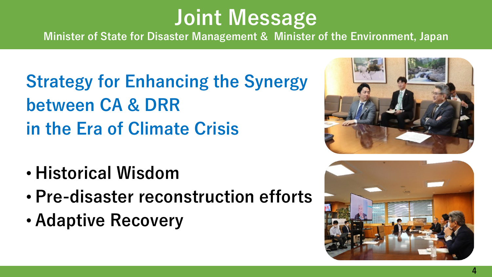### **Joint Message**

**Minister of State for Disaster Management & Minister of the Environment, Japan**

**Strategy for Enhancing the Synergy between CA & DRR in the Era of Climate Crisis**

- **Historical Wisdom**
- **Pre-disaster reconstruction efforts**
- **Adaptive Recovery**